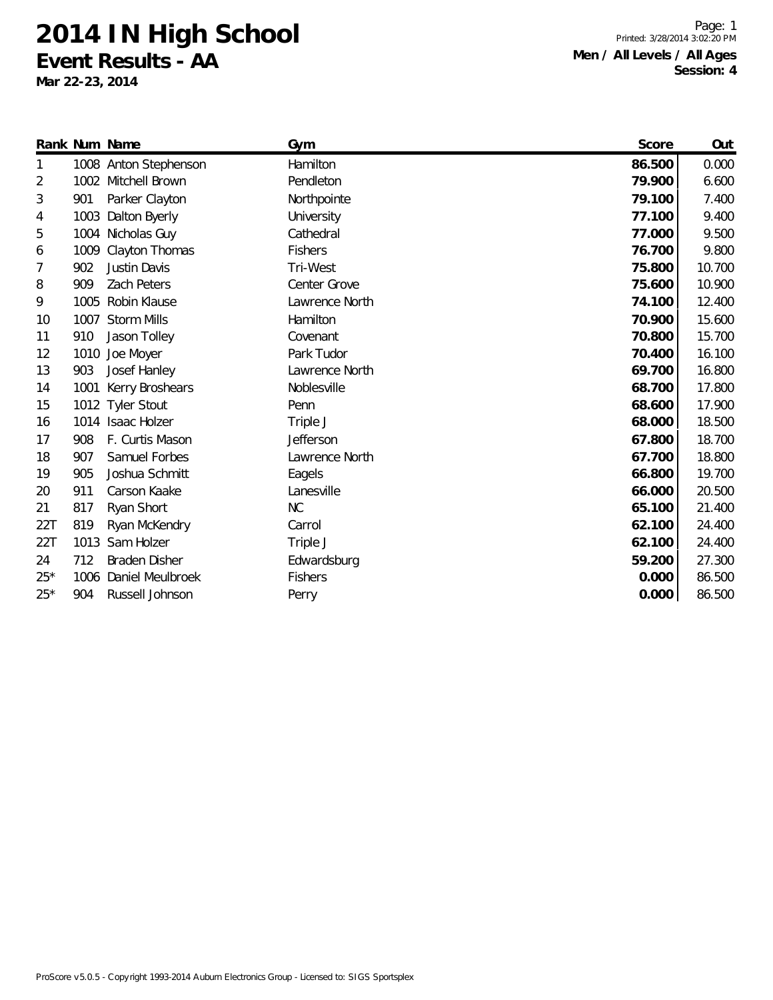**Event Results - AA**

**Mar 22-23, 2014**

Page: 1 Printed: 3/28/2014 3:02:20 PM **Men / All Levels / All Ages Session: 4**

|       |      | Rank Num Name         | Gym            | Score  | Out    |
|-------|------|-----------------------|----------------|--------|--------|
| 1     |      | 1008 Anton Stephenson | Hamilton       | 86.500 | 0.000  |
| 2     |      | 1002 Mitchell Brown   | Pendleton      | 79.900 | 6.600  |
| 3     | 901  | Parker Clayton        | Northpointe    | 79.100 | 7.400  |
| 4     | 1003 | Dalton Byerly         | University     | 77.100 | 9.400  |
| 5     |      | 1004 Nicholas Guy     | Cathedral      | 77.000 | 9.500  |
| 6     | 1009 | Clayton Thomas        | <b>Fishers</b> | 76.700 | 9.800  |
| 7     | 902  | Justin Davis          | Tri-West       | 75.800 | 10.700 |
| 8     | 909  | <b>Zach Peters</b>    | Center Grove   | 75.600 | 10.900 |
| 9     | 1005 | Robin Klause          | Lawrence North | 74.100 | 12.400 |
| 10    | 1007 | <b>Storm Mills</b>    | Hamilton       | 70.900 | 15.600 |
| 11    | 910  | Jason Tolley          | Covenant       | 70.800 | 15.700 |
| 12    | 1010 | Joe Moyer             | Park Tudor     | 70.400 | 16.100 |
| 13    | 903  | Josef Hanley          | Lawrence North | 69.700 | 16.800 |
| 14    | 1001 | Kerry Broshears       | Noblesville    | 68.700 | 17.800 |
| 15    |      | 1012 Tyler Stout      | Penn           | 68.600 | 17.900 |
| 16    |      | 1014 Isaac Holzer     | Triple J       | 68.000 | 18.500 |
| 17    | 908  | F. Curtis Mason       | Jefferson      | 67.800 | 18.700 |
| 18    | 907  | Samuel Forbes         | Lawrence North | 67.700 | 18.800 |
| 19    | 905  | Joshua Schmitt        | Eagels         | 66.800 | 19.700 |
| 20    | 911  | Carson Kaake          | Lanesville     | 66.000 | 20.500 |
| 21    | 817  | Ryan Short            | NC             | 65.100 | 21.400 |
| 22T   | 819  | Ryan McKendry         | Carrol         | 62.100 | 24.400 |
| 22T   | 1013 | Sam Holzer            | Triple J       | 62.100 | 24.400 |
| 24    | 712  | <b>Braden Disher</b>  | Edwardsburg    | 59.200 | 27.300 |
| $25*$ | 1006 | Daniel Meulbroek      | <b>Fishers</b> | 0.000  | 86.500 |
| $25*$ | 904  | Russell Johnson       | Perry          | 0.000  | 86.500 |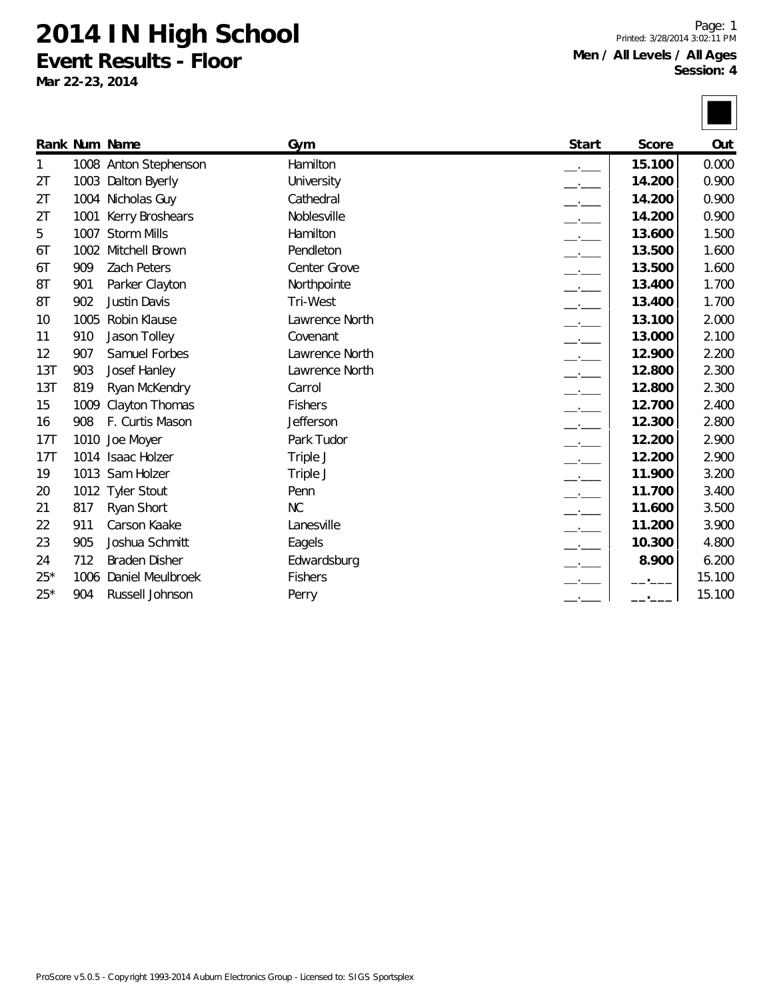**Event Results - Floor**

**Mar 22-23, 2014**

Page: 1 Printed: 3/28/2014 3:02:11 PM **Men / All Levels / All Ages Session: 4**

|       |      | Rank Num Name         | Gym            | Start                    | Score  | Out    |
|-------|------|-----------------------|----------------|--------------------------|--------|--------|
| 1     |      | 1008 Anton Stephenson | Hamilton       |                          | 15.100 | 0.000  |
| 2T    | 1003 | Dalton Byerly         | University     | $ -$                     | 14.200 | 0.900  |
| 2T    |      | 1004 Nicholas Guy     | Cathedral      |                          | 14.200 | 0.900  |
| 2T    | 1001 | Kerry Broshears       | Noblesville    |                          | 14.200 | 0.900  |
| 5     |      | 1007 Storm Mills      | Hamilton       | $-$                      | 13.600 | 1.500  |
| 6T    | 1002 | Mitchell Brown        | Pendleton      |                          | 13.500 | 1.600  |
| 6T    | 909  | <b>Zach Peters</b>    | Center Grove   |                          | 13.500 | 1.600  |
| 8T    | 901  | Parker Clayton        | Northpointe    |                          | 13.400 | 1.700  |
| 8T    | 902  | Justin Davis          | Tri-West       |                          | 13.400 | 1.700  |
| 10    | 1005 | Robin Klause          | Lawrence North |                          | 13.100 | 2.000  |
| 11    | 910  | Jason Tolley          | Covenant       |                          | 13.000 | 2.100  |
| 12    | 907  | Samuel Forbes         | Lawrence North | $ -$                     | 12.900 | 2.200  |
| 13T   | 903  | Josef Hanley          | Lawrence North |                          | 12.800 | 2.300  |
| 13T   | 819  | Ryan McKendry         | Carrol         |                          | 12.800 | 2.300  |
| 15    | 1009 | Clayton Thomas        | <b>Fishers</b> | $-$                      | 12.700 | 2.400  |
| 16    | 908  | F. Curtis Mason       | Jefferson      | $\overline{\phantom{a}}$ | 12.300 | 2.800  |
| 17T   | 1010 | Joe Moyer             | Park Tudor     |                          | 12.200 | 2.900  |
| 17T   |      | 1014 Isaac Holzer     | Triple J       | $ -$                     | 12.200 | 2.900  |
| 19    |      | 1013 Sam Holzer       | Triple J       |                          | 11.900 | 3.200  |
| 20    |      | 1012 Tyler Stout      | Penn           |                          | 11.700 | 3.400  |
| 21    | 817  | Ryan Short            | NC             |                          | 11.600 | 3.500  |
| 22    | 911  | Carson Kaake          | Lanesville     | $-1$                     | 11.200 | 3.900  |
| 23    | 905  | Joshua Schmitt        | Eagels         |                          | 10.300 | 4.800  |
| 24    | 712  | <b>Braden Disher</b>  | Edwardsburg    |                          | 8.900  | 6.200  |
| $25*$ | 1006 | Daniel Meulbroek      | <b>Fishers</b> |                          |        | 15.100 |
| $25*$ | 904  | Russell Johnson       | Perry          |                          |        | 15.100 |

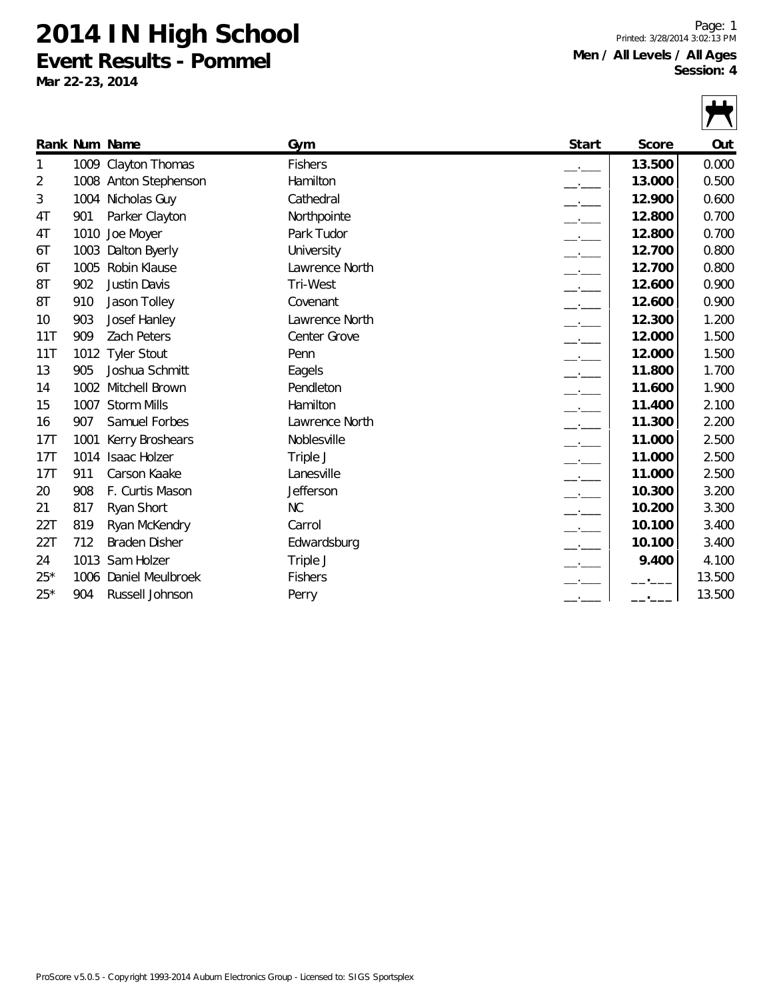**Event Results - Pommel**

**Mar 22-23, 2014**

Page: 1 Printed: 3/28/2014 3:02:13 PM **Men / All Levels / All Ages Session: 4**



|       |      | Rank Num Name         | Gym            | Start                    | Score  | Out    |
|-------|------|-----------------------|----------------|--------------------------|--------|--------|
| 1     |      | 1009 Clayton Thomas   | <b>Fishers</b> |                          | 13.500 | 0.000  |
| 2     |      | 1008 Anton Stephenson | Hamilton       |                          | 13.000 | 0.500  |
| 3     |      | 1004 Nicholas Guy     | Cathedral      |                          | 12.900 | 0.600  |
| 4T    | 901  | Parker Clayton        | Northpointe    | $\overline{\phantom{a}}$ | 12.800 | 0.700  |
| 4T    | 1010 | Joe Moyer             | Park Tudor     |                          | 12.800 | 0.700  |
| 6T    | 1003 | Dalton Byerly         | University     | $\overline{\phantom{a}}$ | 12.700 | 0.800  |
| 6T    | 1005 | Robin Klause          | Lawrence North | $-$                      | 12.700 | 0.800  |
| 8T    | 902  | Justin Davis          | Tri-West       |                          | 12.600 | 0.900  |
| 8T    | 910  | Jason Tolley          | Covenant       | $\overline{\phantom{a}}$ | 12.600 | 0.900  |
| 10    | 903  | Josef Hanley          | Lawrence North | $\overline{\phantom{a}}$ | 12.300 | 1.200  |
| 11T   | 909  | <b>Zach Peters</b>    | Center Grove   |                          | 12.000 | 1.500  |
| 11T   | 1012 | <b>Tyler Stout</b>    | Penn           | $\overline{\phantom{a}}$ | 12.000 | 1.500  |
| 13    | 905  | Joshua Schmitt        | Eagels         |                          | 11.800 | 1.700  |
| 14    | 1002 | Mitchell Brown        | Pendleton      |                          | 11.600 | 1.900  |
| 15    |      | 1007 Storm Mills      | Hamilton       | $\overline{\phantom{a}}$ | 11.400 | 2.100  |
| 16    | 907  | Samuel Forbes         | Lawrence North |                          | 11.300 | 2.200  |
| 17T   | 1001 | Kerry Broshears       | Noblesville    |                          | 11.000 | 2.500  |
| 17T   | 1014 | <b>Isaac Holzer</b>   | Triple J       | $\overline{\phantom{a}}$ | 11.000 | 2.500  |
| 17T   | 911  | Carson Kaake          | Lanesville     |                          | 11.000 | 2.500  |
| 20    | 908  | F. Curtis Mason       | Jefferson      | $\overline{\phantom{a}}$ | 10.300 | 3.200  |
| 21    | 817  | Ryan Short            | NC             | $\overline{\phantom{a}}$ | 10.200 | 3.300  |
| 22T   | 819  | Ryan McKendry         | Carrol         |                          | 10.100 | 3.400  |
| 22T   | 712  | <b>Braden Disher</b>  | Edwardsburg    |                          | 10.100 | 3.400  |
| 24    | 1013 | Sam Holzer            | Triple J       |                          | 9.400  | 4.100  |
| $25*$ |      | 1006 Daniel Meulbroek | <b>Fishers</b> |                          |        | 13.500 |
| $25*$ | 904  | Russell Johnson       | Perry          |                          |        | 13.500 |
|       |      |                       |                |                          |        |        |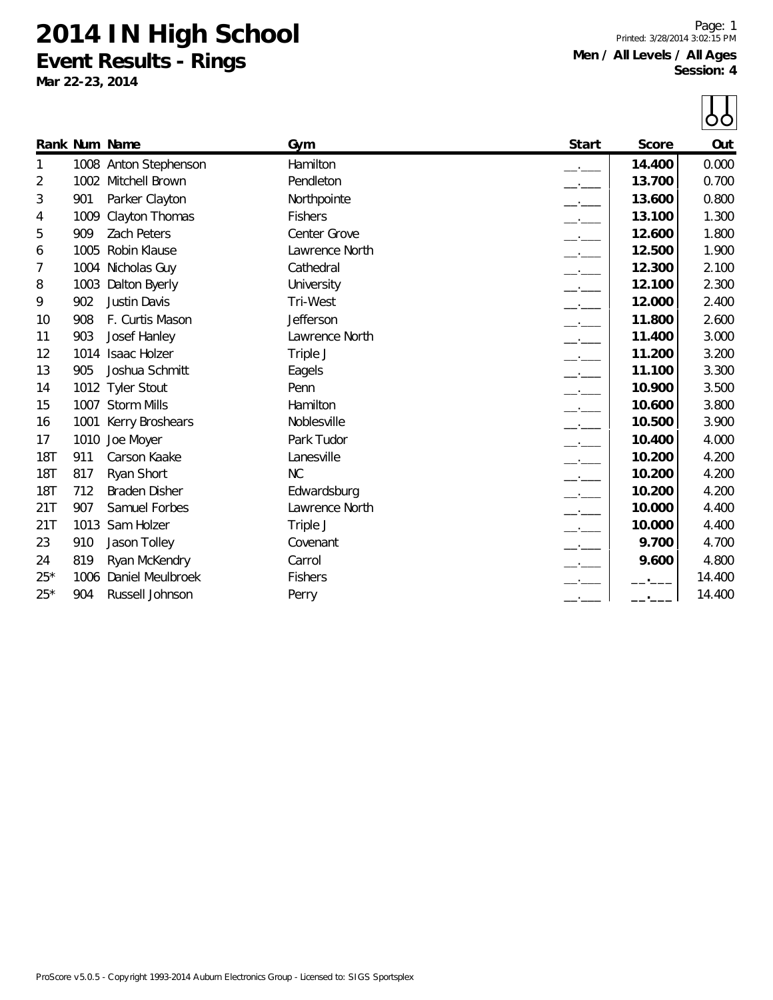**Event Results - Rings**

**Mar 22-23, 2014**

Page: 1 Printed: 3/28/2014 3:02:15 PM **Men / All Levels / All Ages Session: 4**

|       |      |                       |                |                          |        | ŌÒ     |
|-------|------|-----------------------|----------------|--------------------------|--------|--------|
|       |      | Rank Num Name         | Gym            | Start                    | Score  | Out    |
| 1     |      | 1008 Anton Stephenson | Hamilton       |                          | 14.400 | 0.000  |
| 2     | 1002 | Mitchell Brown        | Pendleton      |                          | 13.700 | 0.700  |
| 3     | 901  | Parker Clayton        | Northpointe    |                          | 13.600 | 0.800  |
| 4     | 1009 | Clayton Thomas        | <b>Fishers</b> |                          | 13.100 | 1.300  |
| 5     | 909  | <b>Zach Peters</b>    | Center Grove   |                          | 12.600 | 1.800  |
| 6     | 1005 | Robin Klause          | Lawrence North |                          | 12.500 | 1.900  |
| 7     | 1004 | Nicholas Guy          | Cathedral      |                          | 12.300 | 2.100  |
| 8     | 1003 | Dalton Byerly         | University     |                          | 12.100 | 2.300  |
| 9     | 902  | Justin Davis          | Tri-West       |                          | 12.000 | 2.400  |
| 10    | 908  | F. Curtis Mason       | Jefferson      |                          | 11.800 | 2.600  |
| 11    | 903  | Josef Hanley          | Lawrence North |                          | 11.400 | 3.000  |
| 12    | 1014 | <b>Isaac Holzer</b>   | Triple J       |                          | 11.200 | 3.200  |
| 13    | 905  | Joshua Schmitt        | Eagels         |                          | 11.100 | 3.300  |
| 14    |      | 1012 Tyler Stout      | Penn           | $\overline{\phantom{a}}$ | 10.900 | 3.500  |
| 15    |      | 1007 Storm Mills      | Hamilton       | $\overline{\phantom{a}}$ | 10.600 | 3.800  |
| 16    | 1001 | Kerry Broshears       | Noblesville    |                          | 10.500 | 3.900  |
| 17    | 1010 | Joe Moyer             | Park Tudor     |                          | 10.400 | 4.000  |
| 18T   | 911  | Carson Kaake          | Lanesville     | $\overline{\phantom{a}}$ | 10.200 | 4.200  |
| 18T   | 817  | Ryan Short            | NC             |                          | 10.200 | 4.200  |
| 18T   | 712  | <b>Braden Disher</b>  | Edwardsburg    |                          | 10.200 | 4.200  |
| 21T   | 907  | Samuel Forbes         | Lawrence North | $\overline{\phantom{a}}$ | 10.000 | 4.400  |
| 21T   | 1013 | Sam Holzer            | Triple J       | $   -$                   | 10.000 | 4.400  |
| 23    | 910  | Jason Tolley          | Covenant       |                          | 9.700  | 4.700  |
| 24    | 819  | Ryan McKendry         | Carrol         |                          | 9.600  | 4.800  |
| $25*$ | 1006 | Daniel Meulbroek      | Fishers        |                          |        | 14.400 |
| $25*$ | 904  | Russell Johnson       | Perry          |                          |        | 14.400 |

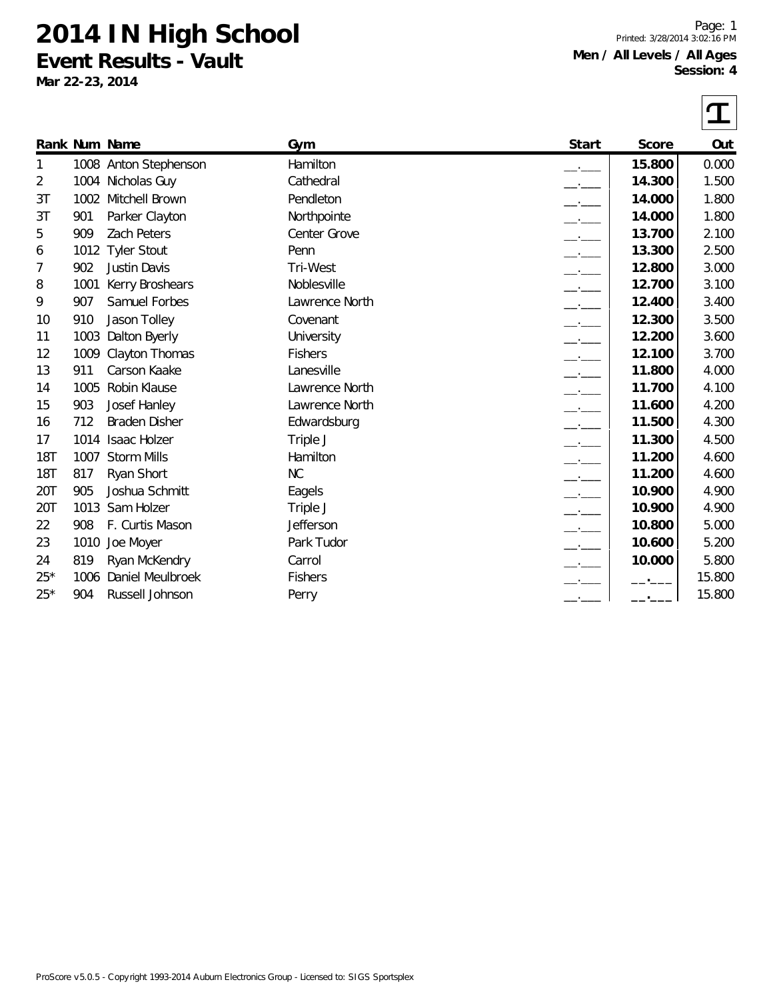**Event Results - Vault**

**Mar 22-23, 2014**

Page: 1 Printed: 3/28/2014 3:02:16 PM **Men / All Levels / All Ages Session: 4**

|            |      |                       |                |                                 |        | I      |
|------------|------|-----------------------|----------------|---------------------------------|--------|--------|
|            |      | Rank Num Name         | Gym            | Start                           | Score  | Out    |
| 1          |      | 1008 Anton Stephenson | Hamilton       |                                 | 15.800 | 0.000  |
| 2          |      | 1004 Nicholas Guy     | Cathedral      |                                 | 14.300 | 1.500  |
| 3T         | 1002 | Mitchell Brown        | Pendleton      |                                 | 14.000 | 1.800  |
| 3T         | 901  | Parker Clayton        | Northpointe    |                                 | 14.000 | 1.800  |
| 5          | 909  | Zach Peters           | Center Grove   |                                 | 13.700 | 2.100  |
| 6          | 1012 | <b>Tyler Stout</b>    | Penn           | $-1$                            | 13.300 | 2.500  |
| 7          | 902  | Justin Davis          | Tri-West       | $ -$                            | 12.800 | 3.000  |
| 8          | 1001 | Kerry Broshears       | Noblesville    |                                 | 12.700 | 3.100  |
| 9          | 907  | Samuel Forbes         | Lawrence North |                                 | 12.400 | 3.400  |
| 10         | 910  | Jason Tolley          | Covenant       | $ -$                            | 12.300 | 3.500  |
| 11         | 1003 | Dalton Byerly         | University     |                                 | 12.200 | 3.600  |
| 12         | 1009 | Clayton Thomas        | <b>Fishers</b> |                                 | 12.100 | 3.700  |
| 13         | 911  | Carson Kaake          | Lanesville     | $-1$                            | 11.800 | 4.000  |
| 14         | 1005 | Robin Klause          | Lawrence North | $\overline{\phantom{iiiiiiii}}$ | 11.700 | 4.100  |
| 15         | 903  | Josef Hanley          | Lawrence North |                                 | 11.600 | 4.200  |
| 16         | 712  | <b>Braden Disher</b>  | Edwardsburg    |                                 | 11.500 | 4.300  |
| 17         | 1014 | <b>Isaac Holzer</b>   | Triple J       | $-1$                            | 11.300 | 4.500  |
| <b>18T</b> | 1007 | <b>Storm Mills</b>    | Hamilton       |                                 | 11.200 | 4.600  |
| 18T        | 817  | Ryan Short            | NC             |                                 | 11.200 | 4.600  |
| 20T        | 905  | Joshua Schmitt        | Eagels         |                                 | 10.900 | 4.900  |
| 20T        | 1013 | Sam Holzer            | Triple J       | $-1$                            | 10.900 | 4.900  |
| 22         | 908  | F. Curtis Mason       | Jefferson      |                                 | 10.800 | 5.000  |
| 23         | 1010 | Joe Moyer             | Park Tudor     |                                 | 10.600 | 5.200  |
| 24         | 819  | Ryan McKendry         | Carrol         |                                 | 10.000 | 5.800  |
| $25*$      | 1006 | Daniel Meulbroek      | <b>Fishers</b> |                                 |        | 15.800 |
| $25*$      | 904  | Russell Johnson       | Perry          |                                 |        | 15.800 |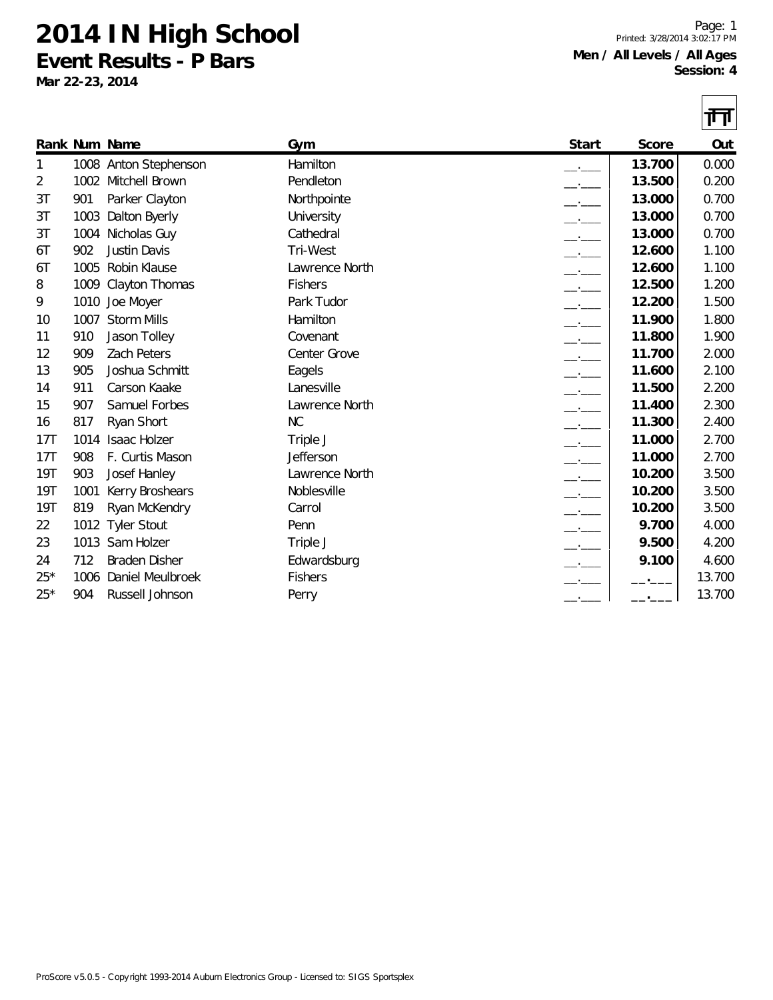**Event Results - P Bars**

**Mar 22-23, 2014**

Page: 1 Printed: 3/28/2014 3:02:17 PM **Men / All Levels / All Ages Session: 4**

|       |      |                       |                |       |        | 襾      |
|-------|------|-----------------------|----------------|-------|--------|--------|
|       |      | Rank Num Name         | Gym            | Start | Score  | Out    |
| 1     |      | 1008 Anton Stephenson | Hamilton       |       | 13.700 | 0.000  |
| 2     | 1002 | Mitchell Brown        | Pendleton      |       | 13.500 | 0.200  |
| 3T    | 901  | Parker Clayton        | Northpointe    |       | 13.000 | 0.700  |
| 3T    | 1003 | Dalton Byerly         | University     |       | 13.000 | 0.700  |
| 3T    | 1004 | Nicholas Guy          | Cathedral      |       | 13.000 | 0.700  |
| 6T    | 902  | <b>Justin Davis</b>   | Tri-West       |       | 12.600 | 1.100  |
| 6T    | 1005 | Robin Klause          | Lawrence North |       | 12.600 | 1.100  |
| 8     | 1009 | Clayton Thomas        | <b>Fishers</b> |       | 12.500 | 1.200  |
| 9     | 1010 | Joe Moyer             | Park Tudor     |       | 12.200 | 1.500  |
| 10    | 1007 | <b>Storm Mills</b>    | Hamilton       |       | 11.900 | 1.800  |
| 11    | 910  | Jason Tolley          | Covenant       |       | 11.800 | 1.900  |
| 12    | 909  | <b>Zach Peters</b>    | Center Grove   |       | 11.700 | 2.000  |
| 13    | 905  | Joshua Schmitt        | Eagels         |       | 11.600 | 2.100  |
| 14    | 911  | Carson Kaake          | Lanesville     |       | 11.500 | 2.200  |
| 15    | 907  | Samuel Forbes         | Lawrence North |       | 11.400 | 2.300  |
| 16    | 817  | Ryan Short            | NC             |       | 11.300 | 2.400  |
| 17T   | 1014 | Isaac Holzer          | Triple J       |       | 11.000 | 2.700  |
| 17T   | 908  | F. Curtis Mason       | Jefferson      |       | 11.000 | 2.700  |
| 19T   | 903  | Josef Hanley          | Lawrence North | $-1$  | 10.200 | 3.500  |
| 19T   | 1001 | Kerry Broshears       | Noblesville    | $ -$  | 10.200 | 3.500  |
| 19T   | 819  | Ryan McKendry         | Carrol         |       | 10.200 | 3.500  |
| 22    |      | 1012 Tyler Stout      | Penn           |       | 9.700  | 4.000  |
| 23    |      | 1013 Sam Holzer       | Triple J       |       | 9.500  | 4.200  |
| 24    | 712  | <b>Braden Disher</b>  | Edwardsburg    |       | 9.100  | 4.600  |
| $25*$ | 1006 | Daniel Meulbroek      | <b>Fishers</b> |       |        | 13.700 |
| $25*$ | 904  | Russell Johnson       | Perry          |       |        | 13.700 |